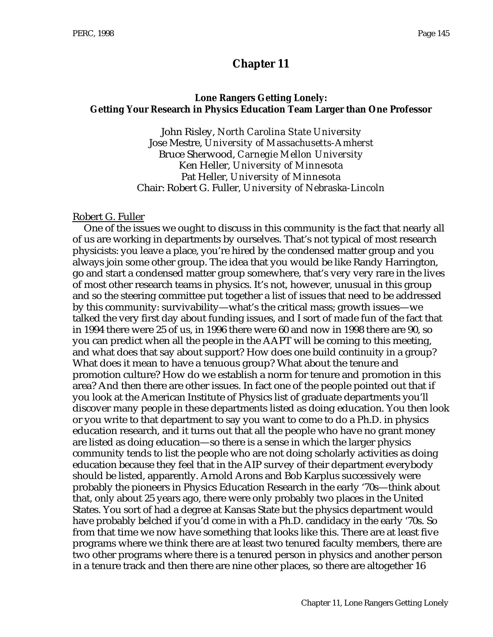# **Chapter 11**

#### **Lone Rangers Getting Lonely: Getting Your Research in Physics Education Team Larger than One Professor**

John Risley, *North Carolina State University* Jose Mestre, *University of Massachusetts-Amherst* Bruce Sherwood, *Carnegie Mellon University* Ken Heller, *University of Minnesota* Pat Heller, *University of Minnesota* Chair: Robert G. Fuller, *University of Nebraska-Lincoln*

#### Robert G. Fuller

One of the issues we ought to discuss in this community is the fact that nearly all of us are working in departments by ourselves. That's not typical of most research physicists: you leave a place, you're hired by the condensed matter group and you always join some other group. The idea that you would be like Randy Harrington, go and start a condensed matter group somewhere, that's very very rare in the lives of most other research teams in physics. It's not, however, unusual in this group and so the steering committee put together a list of issues that need to be addressed by this community: survivability—what's the critical mass; growth issues—we talked the very first day about funding issues, and I sort of made fun of the fact that in 1994 there were 25 of us, in 1996 there were 60 and now in 1998 there are 90, so you can predict when all the people in the AAPT will be coming to this meeting, and what does that say about support? How does one build continuity in a group? What does it mean to have a tenuous group? What about the tenure and promotion culture? How do we establish a norm for tenure and promotion in this area? And then there are other issues. In fact one of the people pointed out that if you look at the American Institute of Physics list of graduate departments you'll discover many people in these departments listed as doing education. You then look or you write to that department to say you want to come to do a Ph.D. in physics education research, and it turns out that all the people who have no grant money are listed as doing education—so there is a sense in which the larger physics community tends to list the people who are not doing scholarly activities as doing education because they feel that in the AIP survey of their department everybody should be listed, apparently. Arnold Arons and Bob Karplus successively were probably the pioneers in Physics Education Research in the early '70s—think about that, only about 25 years ago, there were only probably two places in the United States. You sort of had a degree at Kansas State but the physics department would have probably belched if you'd come in with a Ph.D. candidacy in the early '70s. So from that time we now have something that looks like this. There are at least five programs where we think there are at least two tenured faculty members, there are two other programs where there is a tenured person in physics and another person in a tenure track and then there are nine other places, so there are altogether 16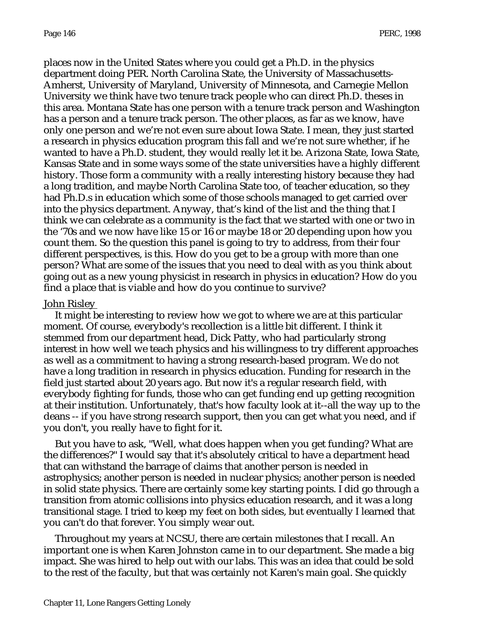places now in the United States where you could get a Ph.D. in the physics department doing PER. North Carolina State, the University of Massachusetts-Amherst, University of Maryland, University of Minnesota, and Carnegie Mellon University we think have two tenure track people who can direct Ph.D. theses in this area. Montana State has one person with a tenure track person and Washington has a person and a tenure track person. The other places, as far as we know, have only one person and we're not even sure about Iowa State. I mean, they just started a research in physics education program this fall and we're not sure whether, if he wanted to have a Ph.D. student, they would really let it be. Arizona State, Iowa State, Kansas State and in some ways some of the state universities have a highly different history. Those form a community with a really interesting history because they had a long tradition, and maybe North Carolina State too, of teacher education, so they had Ph.D.s in education which some of those schools managed to get carried over into the physics department. Anyway, that's kind of the list and the thing that I think we can celebrate as a community is the fact that we started with one or two in the '70s and we now have like 15 or 16 or maybe 18 or 20 depending upon how you count them. So the question this panel is going to try to address, from their four different perspectives, is this. How do you get to be a group with more than one person? What are some of the issues that you need to deal with as you think about going out as a new young physicist in research in physics in education? How do you find a place that is viable and how do you continue to survive?

## John Risley

It might be interesting to review how we got to where we are at this particular moment. Of course, everybody's recollection is a little bit different. I think it stemmed from our department head, Dick Patty, who had particularly strong interest in how well we teach physics and his willingness to try different approaches as well as a commitment to having a strong research-based program. We do not have a long tradition in research in physics education. Funding for research in the field just started about 20 years ago. But now it's a regular research field, with everybody fighting for funds, those who can get funding end up getting recognition at their institution. Unfortunately, that's how faculty look at it--all the way up to the deans -- if you have strong research support, then you can get what you need, and if you don't, you really have to fight for it.

But you have to ask, "Well, what does happen when you get funding? What are the differences?" I would say that it's absolutely critical to have a department head that can withstand the barrage of claims that another person is needed in astrophysics; another person is needed in nuclear physics; another person is needed in solid state physics. There are certainly some key starting points. I did go through a transition from atomic collisions into physics education research, and it was a long transitional stage. I tried to keep my feet on both sides, but eventually I learned that you can't do that forever. You simply wear out.

Throughout my years at NCSU, there are certain milestones that I recall. An important one is when Karen Johnston came in to our department. She made a big impact. She was hired to help out with our labs. This was an idea that could be sold to the rest of the faculty, but that was certainly not Karen's main goal. She quickly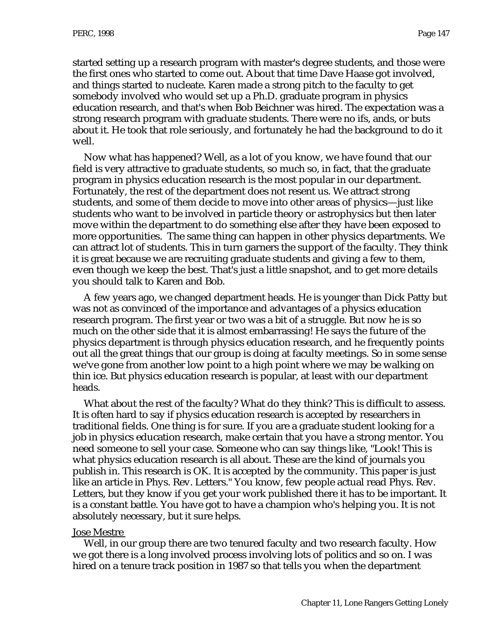started setting up a research program with master's degree students, and those were the first ones who started to come out. About that time Dave Haase got involved, and things started to nucleate. Karen made a strong pitch to the faculty to get somebody involved who would set up a Ph.D. graduate program in physics education research, and that's when Bob Beichner was hired. The expectation was a strong research program with graduate students. There were no ifs, ands, or buts about it. He took that role seriously, and fortunately he had the background to do it well.

Now what has happened? Well, as a lot of you know, we have found that our field is very attractive to graduate students, so much so, in fact, that the graduate program in physics education research is the most popular in our department. Fortunately, the rest of the department does not resent us. We attract strong students, and some of them decide to move into other areas of physics—just like students who want to be involved in particle theory or astrophysics but then later move within the department to do something else after they have been exposed to more opportunities. The same thing can happen in other physics departments. We can attract lot of students. This in turn garners the support of the faculty. They think it is great because we are recruiting graduate students and giving a few to them, even though we keep the best. That's just a little snapshot, and to get more details you should talk to Karen and Bob.

A few years ago, we changed department heads. He is younger than Dick Patty but was not as convinced of the importance and advantages of a physics education research program. The first year or two was a bit of a struggle. But now he is so much on the other side that it is almost embarrassing! He says the future of the physics department is through physics education research, and he frequently points out all the great things that our group is doing at faculty meetings. So in some sense we've gone from another low point to a high point where we may be walking on thin ice. But physics education research is popular, at least with our department heads.

What about the rest of the faculty? What do they think? This is difficult to assess. It is often hard to say if physics education research is accepted by researchers in traditional fields. One thing is for sure. If you are a graduate student looking for a job in physics education research, make certain that you have a strong mentor. You need someone to sell your case. Someone who can say things like, "Look! This is what physics education research is all about. These are the kind of journals you publish in. This research is OK. It is accepted by the community. This paper is just like an article in Phys. Rev. Letters." You know, few people actual read Phys. Rev. Letters, but they know if you get your work published there it has to be important. It is a constant battle. You have got to have a champion who's helping you. It is not absolutely necessary, but it sure helps.

#### Jose Mestre

Well, in our group there are two tenured faculty and two research faculty. How we got there is a long involved process involving lots of politics and so on. I was hired on a tenure track position in 1987 so that tells you when the department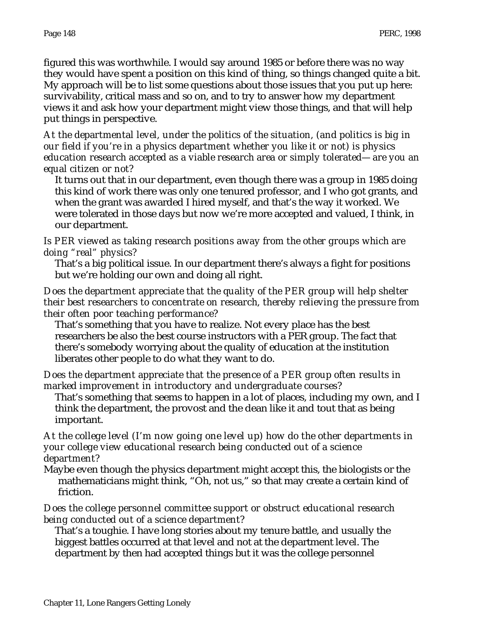figured this was worthwhile. I would say around 1985 or before there was no way they would have spent a position on this kind of thing, so things changed quite a bit. My approach will be to list some questions about those issues that you put up here: survivability, critical mass and so on, and to try to answer how my department views it and ask how your department might view those things, and that will help put things in perspective.

*At the departmental level, under the politics of the situation, (and politics is big in our field if you're in a physics department whether you like it or not) is physics education research accepted as a viable research area or simply tolerated—are you an equal citizen or not?*

It turns out that in our department, even though there was a group in 1985 doing this kind of work there was only one tenured professor, and I who got grants, and when the grant was awarded I hired myself, and that's the way it worked. We were tolerated in those days but now we're more accepted and valued, I think, in our department.

*Is PER viewed as taking research positions away from the other groups which are doing "real" physics?*

That's a big political issue. In our department there's always a fight for positions but we're holding our own and doing all right.

*Does the department appreciate that the quality of the PER group will help shelter their best researchers to concentrate on research, thereby relieving the pressure from their often poor teaching performance?*

That's something that you have to realize. Not every place has the best researchers be also the best course instructors with a PER group. The fact that there's somebody worrying about the quality of education at the institution liberates other people to do what they want to do.

#### *Does the department appreciate that the presence of a PER group often results in marked improvement in introductory and undergraduate courses?*

That's something that seems to happen in a lot of places, including my own, and I think the department, the provost and the dean like it and tout that as being important.

#### *At the college level (I'm now going one level up) how do the other departments in your college view educational research being conducted out of a science department?*

Maybe even though the physics department might accept this, the biologists or the mathematicians might think, "Oh, not us," so that may create a certain kind of friction.

#### *Does the college personnel committee support or obstruct educational research being conducted out of a science department?*

That's a toughie. I have long stories about my tenure battle, and usually the biggest battles occurred at that level and not at the department level. The department by then had accepted things but it was the college personnel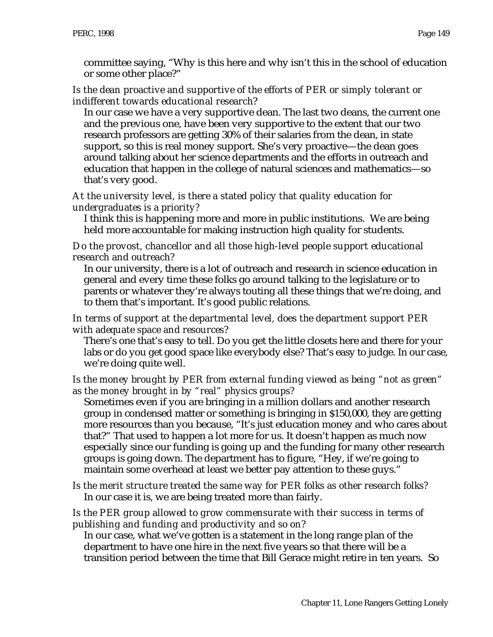committee saying, "Why is this here and why isn't this in the school of education or some other place?"

## *Is the dean proactive and supportive of the efforts of PER or simply tolerant or indifferent towards educational research*?

In our case we have a very supportive dean. The last two deans, the current one and the previous one, have been very supportive to the extent that our two research professors are getting 30% of their salaries from the dean, in state support, so this is real money support. She's very proactive—the dean goes around talking about her science departments and the efforts in outreach and education that happen in the college of natural sciences and mathematics—so that's very good.

## *At the university level, is there a stated policy that quality education for undergraduates is a priority?*

I think this is happening more and more in public institutions. We are being held more accountable for making instruction high quality for students.

## *Do the provost, chancellor and all those high-level people support educational research and outreach?*

In our university, there is a lot of outreach and research in science education in general and every time these folks go around talking to the legislature or to parents or whatever they're always touting all these things that we're doing, and to them that's important. It's good public relations.

## *In terms of support at the departmental level, does the department support PER with adequate space and resources?*

There's one that's easy to tell. Do you get the little closets here and there for your labs or do you get good space like everybody else? That's easy to judge. In our case, we're doing quite well.

## *Is the money brought by PER from external funding viewed as being "not as green" as the money brought in by "real" physics groups?*

Sometimes even if you are bringing in a million dollars and another research group in condensed matter or something is bringing in \$150,000, they are getting more resources than you because, "It's just education money and who cares about that?" That used to happen a lot more for us. It doesn't happen as much now especially since our funding is going up and the funding for many other research groups is going down. The department has to figure, "Hey, if we're going to maintain some overhead at least we better pay attention to these guys."

*Is the merit structure treated the same way for PER folks as other research folks?* In our case it is, we are being treated more than fairly.

## *Is the PER group allowed to grow commensurate with their success in terms of publishing and funding and productivity and so on?*

In our case, what we've gotten is a statement in the long range plan of the department to have one hire in the next five years so that there will be a transition period between the time that Bill Gerace might retire in ten years. So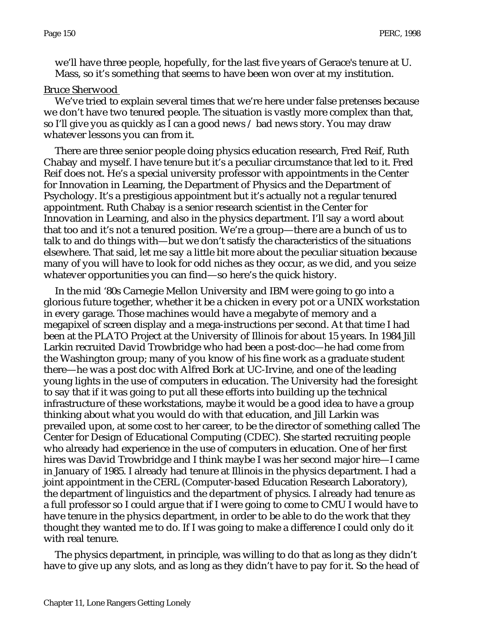we'll have three people, hopefully, for the last five years of Gerace's tenure at U. Mass, so it's something that seems to have been won over at my institution.

#### Bruce Sherwood

We've tried to explain several times that we're here under false pretenses because we don't have two tenured people. The situation is vastly more complex than that, so I'll give you as quickly as I can a good news / bad news story. You may draw whatever lessons you can from it.

There are three senior people doing physics education research, Fred Reif, Ruth Chabay and myself. I have tenure but it's a peculiar circumstance that led to it. Fred Reif does not. He's a special university professor with appointments in the Center for Innovation in Learning, the Department of Physics and the Department of Psychology. It's a prestigious appointment but it's actually not a regular tenured appointment. Ruth Chabay is a senior research scientist in the Center for Innovation in Learning, and also in the physics department. I'll say a word about that too and it's not a tenured position. We're a group—there are a bunch of us to talk to and do things with—but we don't satisfy the characteristics of the situations elsewhere. That said, let me say a little bit more about the peculiar situation because many of you will have to look for odd niches as they occur, as we did, and you seize whatever opportunities you can find—so here's the quick history.

In the mid '80s Carnegie Mellon University and IBM were going to go into a glorious future together, whether it be a chicken in every pot or a UNIX workstation in every garage. Those machines would have a megabyte of memory and a megapixel of screen display and a mega-instructions per second. At that time I had been at the PLATO Project at the University of Illinois for about 15 years. In 1984 Jill Larkin recruited David Trowbridge who had been a post-doc—he had come from the Washington group; many of you know of his fine work as a graduate student there—he was a post doc with Alfred Bork at UC-Irvine, and one of the leading young lights in the use of computers in education. The University had the foresight to say that if it was going to put all these efforts into building up the technical infrastructure of these workstations, maybe it would be a good idea to have a group thinking about what you would do with that education, and Jill Larkin was prevailed upon, at some cost to her career, to be the director of something called The Center for Design of Educational Computing (CDEC). She started recruiting people who already had experience in the use of computers in education. One of her first hires was David Trowbridge and I think maybe I was her second major hire—I came in January of 1985. I already had tenure at Illinois in the physics department. I had a joint appointment in the CERL (Computer-based Education Research Laboratory), the department of linguistics and the department of physics. I already had tenure as a full professor so I could argue that if I were going to come to CMU I would have to have tenure in the physics department, in order to be able to do the work that they thought they wanted me to do. If I was going to make a difference I could only do it with real tenure.

The physics department, in principle, was willing to do that as long as they didn't have to give up any slots, and as long as they didn't have to pay for it. So the head of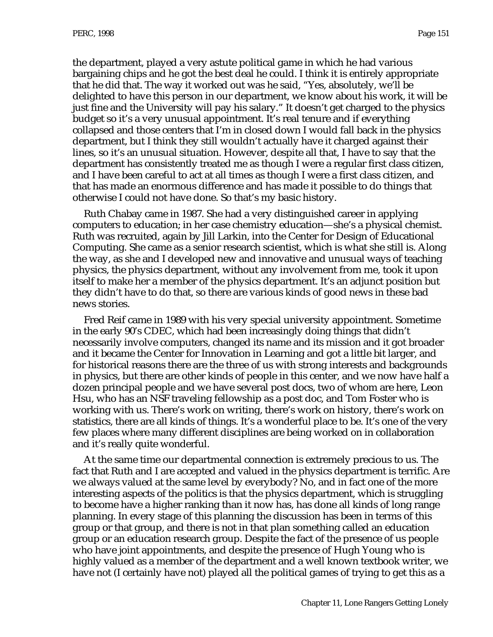the department, played a very astute political game in which he had various bargaining chips and he got the best deal he could. I think it is entirely appropriate that he did that. The way it worked out was he said, "Yes, absolutely, we'll be delighted to have this person in our department, we know about his work, it will be just fine and the University will pay his salary." It doesn't get charged to the physics budget so it's a very unusual appointment. It's real tenure and if everything collapsed and those centers that I'm in closed down I would fall back in the physics department, but I think they still wouldn't actually have it charged against their lines, so it's an unusual situation. However, despite all that, I have to say that the department has consistently treated me as though I were a regular first class citizen, and I have been careful to act at all times as though I were a first class citizen, and that has made an enormous difference and has made it possible to do things that otherwise I could not have done. So that's my basic history.

Ruth Chabay came in 1987. She had a very distinguished career in applying computers to education; in her case chemistry education—she's a physical chemist. Ruth was recruited, again by Jill Larkin, into the Center for Design of Educational Computing. She came as a senior research scientist, which is what she still is. Along the way, as she and I developed new and innovative and unusual ways of teaching physics, the physics department, without any involvement from me, took it upon itself to make her a member of the physics department. It's an adjunct position but they didn't have to do that, so there are various kinds of good news in these bad news stories.

Fred Reif came in 1989 with his very special university appointment. Sometime in the early 90's CDEC, which had been increasingly doing things that didn't necessarily involve computers, changed its name and its mission and it got broader and it became the Center for Innovation in Learning and got a little bit larger, and for historical reasons there are the three of us with strong interests and backgrounds in physics, but there are other kinds of people in this center, and we now have half a dozen principal people and we have several post docs, two of whom are here, Leon Hsu, who has an NSF traveling fellowship as a post doc, and Tom Foster who is working with us. There's work on writing, there's work on history, there's work on statistics, there are all kinds of things. It's a wonderful place to be. It's one of the very few places where many different disciplines are being worked on in collaboration and it's really quite wonderful.

At the same time our departmental connection is extremely precious to us. The fact that Ruth and I are accepted and valued in the physics department is terrific. Are we always valued at the same level by everybody? No, and in fact one of the more interesting aspects of the politics is that the physics department, which is struggling to become have a higher ranking than it now has, has done all kinds of long range planning. In every stage of this planning the discussion has been in terms of this group or that group, and there is not in that plan something called an education group or an education research group. Despite the fact of the presence of us people who have joint appointments, and despite the presence of Hugh Young who is highly valued as a member of the department and a well known textbook writer, we have not (I certainly have not) played all the political games of trying to get this as a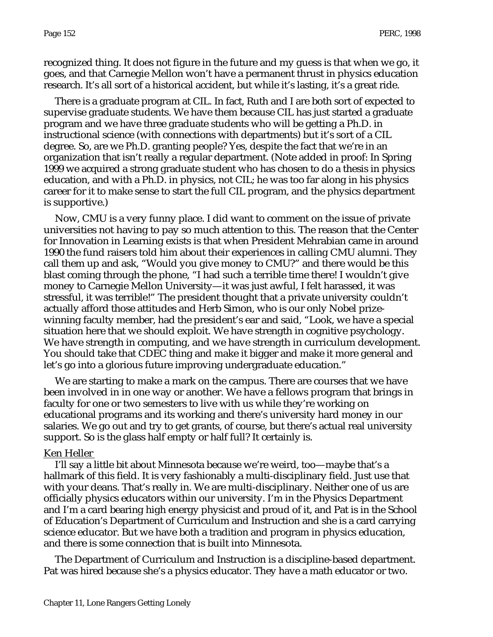recognized thing. It does not figure in the future and my guess is that when we go, it goes, and that Carnegie Mellon won't have a permanent thrust in physics education research. It's all sort of a historical accident, but while it's lasting, it's a great ride.

There is a graduate program at CIL. In fact, Ruth and I are both sort of expected to supervise graduate students. We have them because CIL has just started a graduate program and we have three graduate students who will be getting a Ph.D. in instructional science (with connections with departments) but it's sort of a CIL degree. So, are we Ph.D. granting people? Yes, despite the fact that we're in an organization that isn't really a regular department. (Note added in proof: In Spring 1999 we acquired a strong graduate student who has chosen to do a thesis in physics education, and with a Ph.D. in physics, not CIL; he was too far along in his physics career for it to make sense to start the full CIL program, and the physics department is supportive.)

Now, CMU is a very funny place. I did want to comment on the issue of private universities not having to pay so much attention to this. The reason that the Center for Innovation in Learning exists is that when President Mehrabian came in around 1990 the fund raisers told him about their experiences in calling CMU alumni. They call them up and ask, "Would you give money to CMU?" and there would be this blast coming through the phone, "I had such a terrible time there! I wouldn't give money to Carnegie Mellon University—it was just awful, I felt harassed, it was stressful, it was terrible!" The president thought that a private university couldn't actually afford those attitudes and Herb Simon, who is our only Nobel prizewinning faculty member, had the president's ear and said, "Look, we have a special situation here that we should exploit. We have strength in cognitive psychology. We have strength in computing, and we have strength in curriculum development. You should take that CDEC thing and make it bigger and make it more general and let's go into a glorious future improving undergraduate education."

We are starting to make a mark on the campus. There are courses that we have been involved in in one way or another. We have a fellows program that brings in faculty for one or two semesters to live with us while they're working on educational programs and its working and there's university hard money in our salaries. We go out and try to get grants, of course, but there's actual real university support. So is the glass half empty or half full? It certainly is.

#### Ken Heller

I'll say a little bit about Minnesota because we're weird, too—maybe that's a hallmark of this field. It is very fashionably a multi-disciplinary field. Just use that with your deans. That's really in. We are multi-disciplinary. Neither one of us are officially physics educators within our university. I'm in the Physics Department and I'm a card bearing high energy physicist and proud of it, and Pat is in the School of Education's Department of Curriculum and Instruction and she is a card carrying science educator. But we have both a tradition and program in physics education, and there is some connection that is built into Minnesota.

The Department of Curriculum and Instruction is a discipline-based department. Pat was hired because she's a physics educator. They have a math educator or two.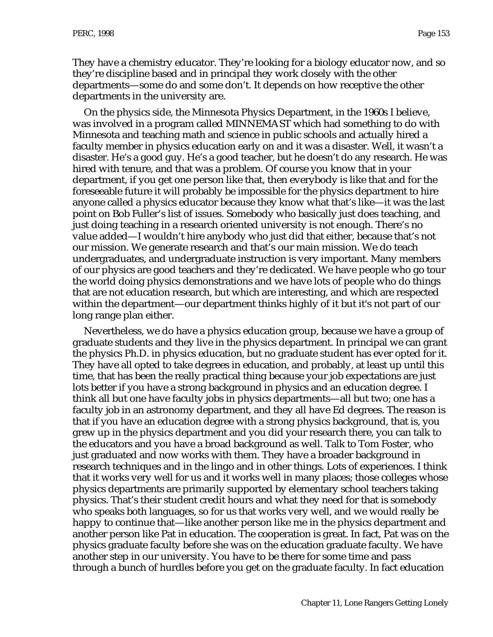They have a chemistry educator. They're looking for a biology educator now, and so they're discipline based and in principal they work closely with the other departments—some do and some don't. It depends on how receptive the other departments in the university are.

On the physics side, the Minnesota Physics Department, in the 1960s I believe, was involved in a program called MINNEMAST which had something to do with Minnesota and teaching math and science in public schools and actually hired a faculty member in physics education early on and it was a disaster. Well, it wasn't a disaster. He's a good guy. He's a good teacher, but he doesn't do any research. He was hired with tenure, and that was a problem. Of course you know that in your department, if you get one person like that, then everybody is like that and for the foreseeable future it will probably be impossible for the physics department to hire anyone called a physics educator because they know what that's like—it was the last point on Bob Fuller's list of issues. Somebody who basically just does teaching, and just doing teaching in a research oriented university is not enough. There's no value added—I wouldn't hire anybody who just did that either, because that's not our mission. We generate research and that's our main mission. We do teach undergraduates, and undergraduate instruction is very important. Many members of our physics are good teachers and they're dedicated. We have people who go tour the world doing physics demonstrations and we have lots of people who do things that are not education research, but which are interesting, and which are respected within the department—our department thinks highly of it but it's not part of our long range plan either.

Nevertheless, we do have a physics education group, because we have a group of graduate students and they live in the physics department. In principal we can grant the physics Ph.D. in physics education, but no graduate student has ever opted for it. They have all opted to take degrees in education, and probably, at least up until this time, that has been the really practical thing because your job expectations are just lots better if you have a strong background in physics and an education degree. I think all but one have faculty jobs in physics departments—all but two; one has a faculty job in an astronomy department, and they all have Ed degrees. The reason is that if you have an education degree with a strong physics background, that is, you grew up in the physics department and you did your research there, you can talk to the educators and you have a broad background as well. Talk to Tom Foster, who just graduated and now works with them. They have a broader background in research techniques and in the lingo and in other things. Lots of experiences. I think that it works very well for us and it works well in many places; those colleges whose physics departments are primarily supported by elementary school teachers taking physics. That's their student credit hours and what they need for that is somebody who speaks both languages, so for us that works very well, and we would really be happy to continue that—like another person like me in the physics department and another person like Pat in education. The cooperation is great. In fact, Pat was on the physics graduate faculty before she was on the education graduate faculty. We have another step in our university. You have to be there for some time and pass through a bunch of hurdles before you get on the graduate faculty. In fact education